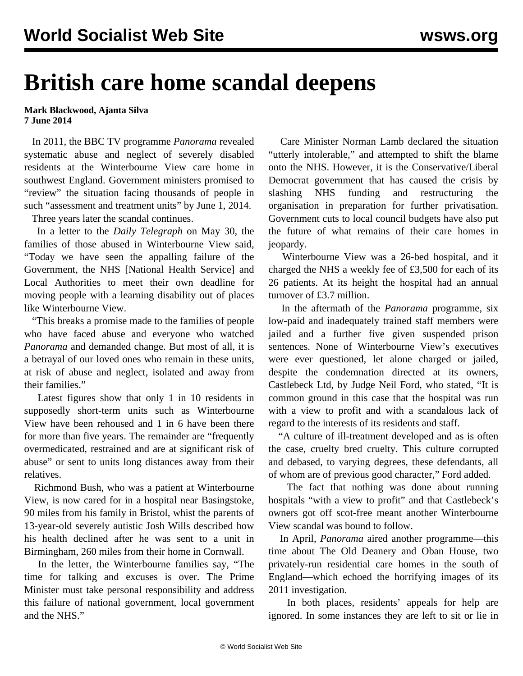## **British care home scandal deepens**

**Mark Blackwood, Ajanta Silva 7 June 2014**

 In 2011, the BBC TV programme *Panorama* revealed systematic abuse and neglect of severely disabled residents at the Winterbourne View care home in southwest England. Government ministers promised to "review" the situation facing thousands of people in such "assessment and treatment units" by June 1, 2014.

Three years later the scandal continues.

 In a letter to the *Daily Telegraph* on May 30, the families of those abused in Winterbourne View said, "Today we have seen the appalling failure of the Government, the NHS [National Health Service] and Local Authorities to meet their own deadline for moving people with a learning disability out of places like Winterbourne View.

 "This breaks a promise made to the families of people who have faced abuse and everyone who watched *Panorama* and demanded change. But most of all, it is a betrayal of our loved ones who remain in these units, at risk of abuse and neglect, isolated and away from their families."

 Latest figures show that only 1 in 10 residents in supposedly short-term units such as Winterbourne View have been rehoused and 1 in 6 have been there for more than five years. The remainder are "frequently overmedicated, restrained and are at significant risk of abuse" or sent to units long distances away from their relatives.

 Richmond Bush, who was a patient at Winterbourne View, is now cared for in a hospital near Basingstoke, 90 miles from his family in Bristol, whist the parents of 13-year-old severely autistic Josh Wills described how his health declined after he was sent to a unit in Birmingham, 260 miles from their home in Cornwall.

 In the letter, the Winterbourne families say, "The time for talking and excuses is over. The Prime Minister must take personal responsibility and address this failure of national government, local government and the NHS."

 Care Minister Norman Lamb declared the situation "utterly intolerable," and attempted to shift the blame onto the NHS. However, it is the Conservative/Liberal Democrat government that has caused the crisis by slashing NHS funding and restructuring the organisation in preparation for further privatisation. Government [cuts](/en/articles/2012/10/elde-o03.html) to local council budgets have also put the future of what remains of their care homes in jeopardy.

 Winterbourne View was a 26-bed hospital, and it charged the NHS a weekly fee of £3,500 for each of its 26 patients. At its height the hospital had an annual turnover of £3.7 million.

 In the aftermath of the *Panorama* programme, six low-paid and inadequately trained staff members were jailed and a further five given suspended prison sentences. None of Winterbourne View's executives were ever questioned, let alone charged or jailed, despite the condemnation directed at its owners, Castlebeck Ltd, by Judge Neil Ford, who stated, "It is common ground in this case that the hospital was run with a view to profit and with a scandalous lack of regard to the interests of its residents and staff.

 "A culture of ill-treatment developed and as is often the case, cruelty bred cruelty. This culture corrupted and debased, to varying degrees, these defendants, all of whom are of previous good character," Ford added.

 The fact that nothing was done about running hospitals "with a view to profit" and that Castlebeck's owners got off scot-free meant another Winterbourne View scandal was bound to follow.

 In April, *Panorama* aired another [programme](http://www.bbc.co.uk/programmes/b042rcjp)—this time about The Old Deanery and Oban House, two privately-run residential care homes in the south of England—which echoed the horrifying images of its 2011 investigation.

 In both places, residents' appeals for help are ignored. In some instances they are left to sit or lie in